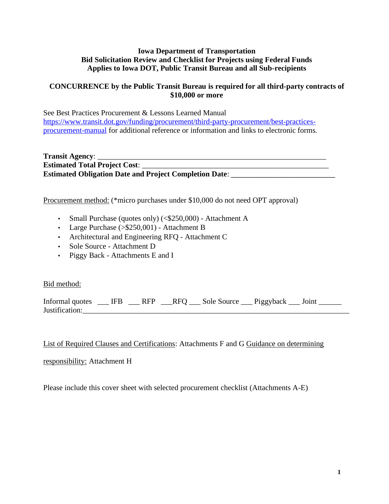# **Iowa Department of Transportation Bid Solicitation Review and Checklist for Projects using Federal Funds Applies to Iowa DOT, Public Transit Bureau and all Sub-recipients**

# **CONCURRENCE by the Public Transit Bureau is required for all third-party contracts of \$10,000 or more**

See Best Practices Procurement & Lessons Learned Manual [https://www.transit.dot.gov/funding/procurement/third-party-procurement/best-practices](https://www.transit.dot.gov/funding/procurement/third-party-procurement/best-practices-procurement-manual)[procurement-manual](https://www.transit.dot.gov/funding/procurement/third-party-procurement/best-practices-procurement-manual) for additional reference or information and links to electronic forms.

**Transit Agency**: \_\_\_\_\_\_\_\_\_\_\_\_\_\_\_\_\_\_\_\_\_\_\_\_\_\_\_\_\_\_\_\_\_\_\_\_\_\_\_\_\_\_\_\_\_\_\_\_\_\_\_\_\_\_\_\_\_\_\_\_ **Estimated Total Project Cost**: \_\_\_\_\_\_\_\_\_\_\_\_\_\_\_\_\_\_\_\_\_\_\_\_\_\_\_\_\_\_\_\_\_\_\_\_\_\_\_\_\_\_\_\_\_\_\_\_\_ **Estimated Obligation Date and Project Completion Date:** 

Procurement method: (\*micro purchases under \$10,000 do not need OPT approval)

- Small Purchase (quotes only) (<\$250,000) Attachment A
- Large Purchase (>\$250,001) Attachment B
- Architectural and Engineering RFQ Attachment C
- Sole Source Attachment D
- Piggy Back Attachments E and I

Bid method:

| Informal quotes |  | __ IFB __ RFP __RFQ __ Sole Source __ Piggyback __ Joint |  |  |
|-----------------|--|----------------------------------------------------------|--|--|
| Justification:  |  |                                                          |  |  |

List of Required Clauses and Certifications: Attachments F and G Guidance on determining

responsibility: Attachment H

Please include this cover sheet with selected procurement checklist (Attachments A-E)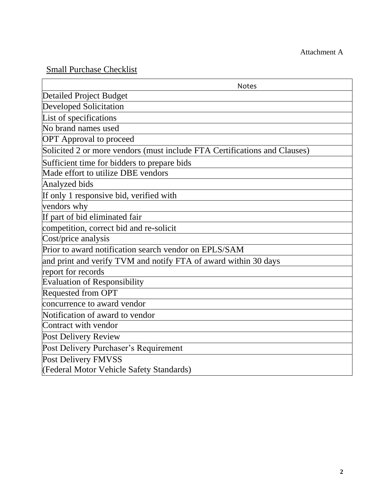# Small Purchase Checklist

| <b>Notes</b>                                                              |
|---------------------------------------------------------------------------|
| <b>Detailed Project Budget</b>                                            |
| <b>Developed Solicitation</b>                                             |
| List of specifications                                                    |
| No brand names used                                                       |
| <b>OPT</b> Approval to proceed                                            |
| Solicited 2 or more vendors (must include FTA Certifications and Clauses) |
| Sufficient time for bidders to prepare bids                               |
| Made effort to utilize DBE vendors                                        |
| Analyzed bids                                                             |
| If only 1 responsive bid, verified with                                   |
| vendors why                                                               |
| If part of bid eliminated fair                                            |
| competition, correct bid and re-solicit                                   |
| Cost/price analysis                                                       |
| Prior to award notification search vendor on EPLS/SAM                     |
| and print and verify TVM and notify FTA of award within 30 days           |
| report for records                                                        |
| <b>Evaluation of Responsibility</b>                                       |
| Requested from OPT                                                        |
| concurrence to award vendor                                               |
| Notification of award to vendor                                           |
| Contract with vendor                                                      |
| Post Delivery Review                                                      |
| Post Delivery Purchaser's Requirement                                     |
| Post Delivery FMVSS                                                       |
| (Federal Motor Vehicle Safety Standards)                                  |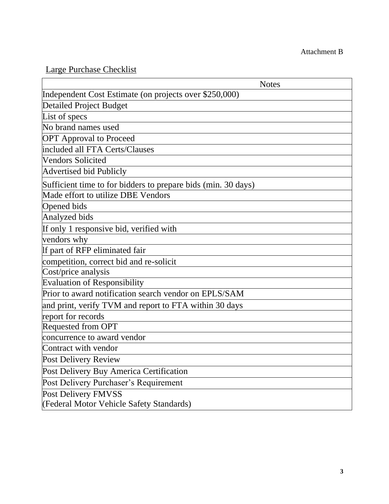# Large Purchase Checklist

| <b>Notes</b>                                                  |
|---------------------------------------------------------------|
| Independent Cost Estimate (on projects over \$250,000)        |
| <b>Detailed Project Budget</b>                                |
| List of specs                                                 |
| No brand names used                                           |
| <b>OPT</b> Approval to Proceed                                |
| included all FTA Certs/Clauses                                |
| <b>Vendors Solicited</b>                                      |
| <b>Advertised bid Publicly</b>                                |
| Sufficient time to for bidders to prepare bids (min. 30 days) |
| Made effort to utilize DBE Vendors                            |
| Opened bids                                                   |
| Analyzed bids                                                 |
| If only 1 responsive bid, verified with                       |
| vendors why                                                   |
| If part of RFP eliminated fair                                |
| competition, correct bid and re-solicit                       |
| Cost/price analysis                                           |
| <b>Evaluation of Responsibility</b>                           |
| Prior to award notification search vendor on EPLS/SAM         |
| and print, verify TVM and report to FTA within 30 days        |
| report for records                                            |
| Requested from OPT                                            |
| concurrence to award vendor                                   |
| Contract with vendor                                          |
| Post Delivery Review                                          |
| Post Delivery Buy America Certification                       |
| Post Delivery Purchaser's Requirement                         |
| Post Delivery FMVSS                                           |
| (Federal Motor Vehicle Safety Standards)                      |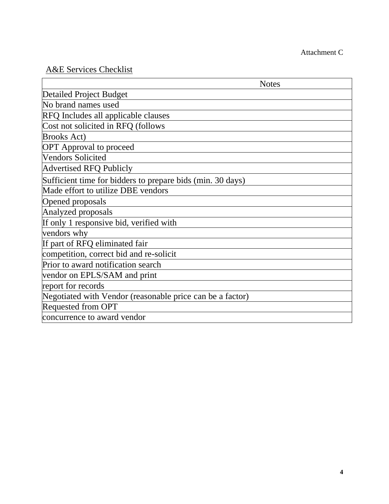# A&E Services Checklist

| <b>Notes</b>                                               |
|------------------------------------------------------------|
| <b>Detailed Project Budget</b>                             |
| No brand names used                                        |
| RFQ Includes all applicable clauses                        |
| Cost not solicited in RFQ (follows                         |
| <b>Brooks Act)</b>                                         |
| <b>OPT</b> Approval to proceed                             |
| <b>Vendors Solicited</b>                                   |
| <b>Advertised RFQ Publicly</b>                             |
| Sufficient time for bidders to prepare bids (min. 30 days) |
| Made effort to utilize DBE vendors                         |
| Opened proposals                                           |
| Analyzed proposals                                         |
| If only 1 responsive bid, verified with                    |
| vendors why                                                |
| If part of RFQ eliminated fair                             |
| competition, correct bid and re-solicit                    |
| Prior to award notification search                         |
| vendor on EPLS/SAM and print                               |
| report for records                                         |
| Negotiated with Vendor (reasonable price can be a factor)  |
| Requested from OPT                                         |
| concurrence to award vendor                                |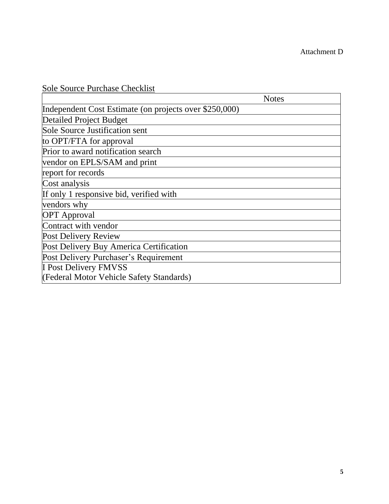Sole Source Purchase Checklist

|                                                        | <b>Notes</b> |
|--------------------------------------------------------|--------------|
| Independent Cost Estimate (on projects over \$250,000) |              |
| <b>Detailed Project Budget</b>                         |              |
| Sole Source Justification sent                         |              |
| to OPT/FTA for approval                                |              |
| Prior to award notification search                     |              |
| vendor on EPLS/SAM and print                           |              |
| report for records                                     |              |
| Cost analysis                                          |              |
| If only 1 responsive bid, verified with                |              |
| vendors why                                            |              |
| <b>OPT</b> Approval                                    |              |
| Contract with vendor                                   |              |
| Post Delivery Review                                   |              |
| Post Delivery Buy America Certification                |              |
| Post Delivery Purchaser's Requirement                  |              |
| <b>I Post Delivery FMVSS</b>                           |              |
| (Federal Motor Vehicle Safety Standards)               |              |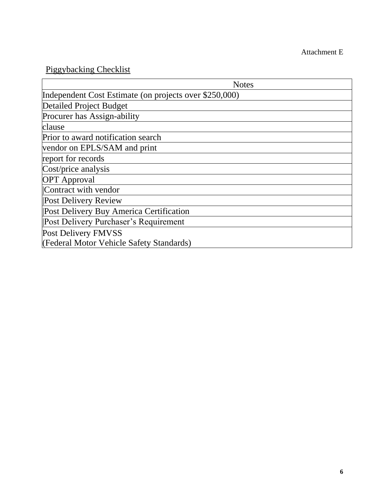Piggybacking Checklist

| <b>Notes</b>                                           |
|--------------------------------------------------------|
| Independent Cost Estimate (on projects over \$250,000) |
| <b>Detailed Project Budget</b>                         |
| Procurer has Assign-ability                            |
| clause                                                 |
| Prior to award notification search                     |
| vendor on EPLS/SAM and print                           |
| report for records                                     |
| Cost/price analysis                                    |
| <b>OPT</b> Approval                                    |
| Contract with vendor                                   |
| <b>Post Delivery Review</b>                            |
| Post Delivery Buy America Certification                |
| Post Delivery Purchaser's Requirement                  |
| <b>Post Delivery FMVSS</b>                             |
| (Federal Motor Vehicle Safety Standards)               |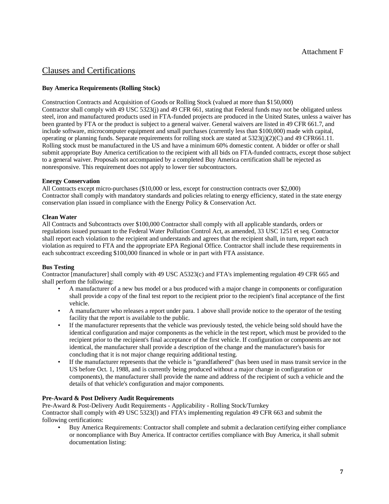# Clauses and Certifications

# **Buy America Requirements (Rolling Stock)**

Construction Contracts and Acquisition of Goods or Rolling Stock (valued at more than \$150,000) Contractor shall comply with 49 USC 5323(j) and 49 CFR 661, stating that Federal funds may not be obligated unless steel, iron and manufactured products used in FTA-funded projects are produced in the United States, unless a waiver has been granted by FTA or the product is subject to a general waiver. General waivers are listed in 49 CFR 661.7, and include software, microcomputer equipment and small purchases (currently less than \$100,000) made with capital, operating or planning funds. Separate requirements for rolling stock are stated at  $5323(i)(2)(C)$  and 49 CFR661.11. Rolling stock must be manufactured in the US and have a minimum 60% domestic content. A bidder or offer or shall submit appropriate Buy America certification to the recipient with all bids on FTA-funded contracts, except those subject to a general waiver. Proposals not accompanied by a completed Buy America certification shall be rejected as nonresponsive. This requirement does not apply to lower tier subcontractors.

# **Energy Conservation**

All Contracts except micro-purchases (\$10,000 or less, except for construction contracts over \$2,000) Contractor shall comply with mandatory standards and policies relating to energy efficiency, stated in the state energy conservation plan issued in compliance with the Energy Policy & Conservation Act.

# **Clean Water**

All Contracts and Subcontracts over \$100,000 Contractor shall comply with all applicable standards, orders or regulations issued pursuant to the Federal Water Pollution Control Act, as amended, 33 USC 1251 et seq. Contractor shall report each violation to the recipient and understands and agrees that the recipient shall, in turn, report each violation as required to FTA and the appropriate EPA Regional Office. Contractor shall include these requirements in each subcontract exceeding \$100,000 financed in whole or in part with FTA assistance.

# **Bus Testing**

Contractor [manufacturer] shall comply with 49 USC A5323(c) and FTA's implementing regulation 49 CFR 665 and shall perform the following:

- A manufacturer of a new bus model or a bus produced with a major change in components or configuration shall provide a copy of the final test report to the recipient prior to the recipient's final acceptance of the first vehicle.
- A manufacturer who releases a report under para. 1 above shall provide notice to the operator of the testing facility that the report is available to the public.
- If the manufacturer represents that the vehicle was previously tested, the vehicle being sold should have the identical configuration and major components as the vehicle in the test report, which must be provided to the recipient prior to the recipient's final acceptance of the first vehicle. If configuration or components are not identical, the manufacturer shall provide a description of the change and the manufacturer's basis for concluding that it is not major change requiring additional testing.
- If the manufacturer represents that the vehicle is "grandfathered" (has been used in mass transit service in the US before Oct. 1, 1988, and is currently being produced without a major change in configuration or components), the manufacturer shall provide the name and address of the recipient of such a vehicle and the details of that vehicle's configuration and major components.

# **Pre-Award & Post Delivery Audit Requirements**

Pre-Award & Post-Delivery Audit Requirements - Applicability - Rolling Stock/Turnkey Contractor shall comply with 49 USC 5323(l) and FTA's implementing regulation 49 CFR 663 and submit the following certifications:

• Buy America Requirements: Contractor shall complete and submit a declaration certifying either compliance or noncompliance with Buy America. If contractor certifies compliance with Buy America, it shall submit documentation listing: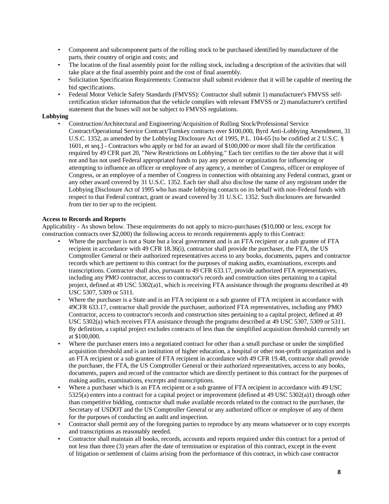- Component and subcomponent parts of the rolling stock to be purchased identified by manufacturer of the parts, their country of origin and costs; and
- The location of the final assembly point for the rolling stock, including a description of the activities that will take place at the final assembly point and the cost of final assembly.
- Solicitation Specification Requirements: Contractor shall submit evidence that it will be capable of meeting the bid specifications.
- Federal Motor Vehicle Safety Standards (FMVSS): Contractor shall submit 1) manufacturer's FMVSS selfcertification sticker information that the vehicle complies with relevant FMVSS or 2) manufacturer's certified statement that the buses will not be subject to FMVSS regulations.

#### **Lobbying**

• Construction/Architectural and Engineering/Acquisition of Rolling Stock/Professional Service Contract/Operational Service Contract/Turnkey contracts over \$100,000, Byrd Anti-Lobbying Amendment, 31 U.S.C. 1352, as amended by the Lobbying Disclosure Act of 1995, P.L. 104-65 [to be codified at 2 U.S.C. § 1601, et seq.] - Contractors who apply or bid for an award of \$100,000 or more shall file the certification required by 49 CFR part 20, "New Restrictions on Lobbying." Each tier certifies to the tier above that it will not and has not used Federal appropriated funds to pay any person or organization for influencing or attempting to influence an officer or employee of any agency, a member of Congress, officer or employee of Congress, or an employee of a member of Congress in connection with obtaining any Federal contract, grant or any other award covered by 31 U.S.C. 1352. Each tier shall also disclose the name of any registrant under the Lobbying Disclosure Act of 1995 who has made lobbying contacts on its behalf with non-Federal funds with respect to that Federal contract, grant or award covered by 31 U.S.C. 1352. Such disclosures are forwarded from tier to tier up to the recipient.

#### **Access to Records and Reports**

Applicability - As shown below. These requirements do not apply to micro-purchases (\$10,000 or less, except for construction contracts over \$2,000) the following access to records requirements apply to this Contract:

- Where the purchaser is not a State but a local government and is an FTA recipient or a sub grantee of FTA recipient in accordance with 49 CFR 18.36(i), contractor shall provide the purchaser, the FTA, the US Comptroller General or their authorized representatives access to any books, documents, papers and contractor records which are pertinent to this contract for the purposes of making audits, examinations, excerpts and transcriptions. Contractor shall also, pursuant to 49 CFR 633.17, provide authorized FTA representatives, including any PMO contractor, access to contractor's records and construction sites pertaining to a capital project, defined at 49 USC 5302(a)1, which is receiving FTA assistance through the programs described at 49 USC 5307, 5309 or 5311.
- Where the purchaser is a State and is an FTA recipient or a sub grantee of FTA recipient in accordance with 49CFR 633.17, contractor shall provide the purchaser, authorized FTA representatives, including any PMO Contractor, access to contractor's records and construction sites pertaining to a capital project, defined at 49 USC 5302(a) which receives FTA assistance through the programs described at 49 USC 5307, 5309 or 5311. By definition, a capital project excludes contracts of less than the simplified acquisition threshold currently set at \$100,000.
- Where the purchaser enters into a negotiated contract for other than a small purchase or under the simplified acquisition threshold and is an institution of higher education, a hospital or other non-profit organization and is an FTA recipient or a sub grantee of FTA recipient in accordance with 49 CFR 19.48, contractor shall provide the purchaser, the FTA, the US Comptroller General or their authorized representatives, access to any books, documents, papers and record of the contractor which are directly pertinent to this contract for the purposes of making audits, examinations, excerpts and transcriptions.
- Where a purchaser which is an FTA recipient or a sub grantee of FTA recipient in accordance with 49 USC 5325(a) enters into a contract for a capital project or improvement (defined at 49 USC 5302(a)1) through other than competitive bidding, contractor shall make available records related to the contract to the purchaser, the Secretary of USDOT and the US Comptroller General or any authorized officer or employee of any of them for the purposes of conducting an audit and inspection.
- Contractor shall permit any of the foregoing parties to reproduce by any means whatsoever or to copy excerpts and transcriptions as reasonably needed.
- Contractor shall maintain all books, records, accounts and reports required under this contract for a period of not less than three (3) years after the date of termination or expiration of this contract, except in the event of litigation or settlement of claims arising from the performance of this contract, in which case contractor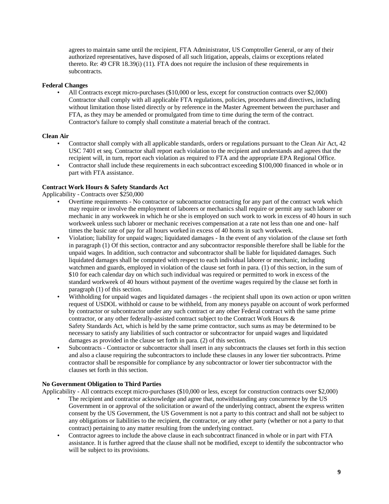agrees to maintain same until the recipient, FTA Administrator, US Comptroller General, or any of their authorized representatives, have disposed of all such litigation, appeals, claims or exceptions related thereto. Re: 49 CFR 18.39(i) (11). FTA does not require the inclusion of these requirements in subcontracts.

### **Federal Changes**

• All Contracts except micro-purchases (\$10,000 or less, except for construction contracts over \$2,000) Contractor shall comply with all applicable FTA regulations, policies, procedures and directives, including without limitation those listed directly or by reference in the Master Agreement between the purchaser and FTA, as they may be amended or promulgated from time to time during the term of the contract. Contractor's failure to comply shall constitute a material breach of the contract.

#### **Clean Air**

- Contractor shall comply with all applicable standards, orders or regulations pursuant to the Clean Air Act, 42 USC 7401 et seq. Contractor shall report each violation to the recipient and understands and agrees that the recipient will, in turn, report each violation as required to FTA and the appropriate EPA Regional Office.
- Contractor shall include these requirements in each subcontract exceeding \$100,000 financed in whole or in part with FTA assistance.

# **Contract Work Hours & Safety Standards Act**

Applicability - Contracts over \$250,000

- Overtime requirements No contractor or subcontractor contracting for any part of the contract work which may require or involve the employment of laborers or mechanics shall require or permit any such laborer or mechanic in any workweek in which he or she is employed on such work to work in excess of 40 hours in such workweek unless such laborer or mechanic receives compensation at a rate not less than one and one- half times the basic rate of pay for all hours worked in excess of 40 horns in such workweek.
- Violation; liability for unpaid wages; liquidated damages In the event of any violation of the clause set forth in paragraph (1) Of this section, contractor and any subcontractor responsible therefore shall be liable for the unpaid wages. In addition, such contractor and subcontractor shall be liable for liquidated damages. Such liquidated damages shall be computed with respect to each individual laborer or mechanic, including watchmen and guards, employed in violation of the clause set forth in para. (1) of this section, in the sum of \$10 for each calendar day on which such individual was required or permitted to work in excess of the standard workweek of 40 hours without payment of the overtime wages required by the clause set forth in paragraph (1) of this section.
- Withholding for unpaid wages and liquidated damages the recipient shall upon its own action or upon written request of USDOL withhold or cause to be withheld, from any moneys payable on account of work performed by contractor or subcontractor under any such contract or any other Federal contract with the same prime contractor, or any other federally-assisted contract subject to the Contract Work Hours & Safety Standards Act, which is held by the same prime contractor, such sums as may be determined to be necessary to satisfy any liabilities of such contractor or subcontractor for unpaid wages and liquidated damages as provided in the clause set forth in para. (2) of this section.
- Subcontracts Contractor or subcontractor shall insert in any subcontracts the clauses set forth in this section and also a clause requiring the subcontractors to include these clauses in any lower tier subcontracts. Prime contractor shall be responsible for compliance by any subcontractor or lower tier subcontractor with the clauses set forth in this section.

#### **No Government Obligation to Third Parties**

Applicability - All contracts except micro-purchases (\$10,000 or less, except for construction contracts over \$2,000)

- The recipient and contractor acknowledge and agree that, notwithstanding any concurrence by the US Government in or approval of the solicitation or award of the underlying contract, absent the express written consent by the US Government, the US Government is not a party to this contract and shall not be subject to any obligations or liabilities to the recipient, the contractor, or any other party (whether or not a party to that contract) pertaining to any matter resulting from the underlying contract.
- Contractor agrees to include the above clause in each subcontract financed in whole or in part with FTA assistance. It is further agreed that the clause shall not be modified, except to identify the subcontractor who will be subject to its provisions.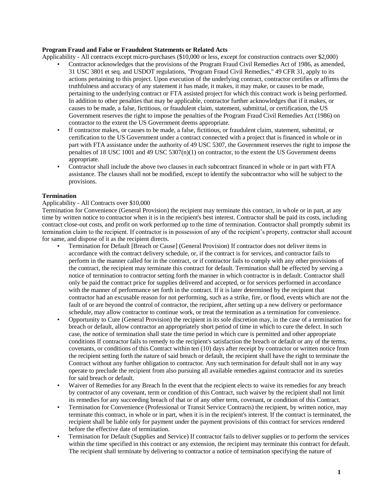#### **Program Fraud and False or Fraudulent Statements or Related Acts**

Applicability - All contracts except micro-purchases (\$10,000 or less, except for construction contracts over \$2,000)

- Contractor acknowledges that the provisions of the Program Fraud Civil Remedies Act of 1986, as amended, 31 USC 3801 et seq. and USDOT regulations, "Program Fraud Civil Remedies," 49 CFR 31, apply to its actions pertaining to this project. Upon execution of the underlying contract, contractor certifies or affirms the truthfulness and accuracy of any statement it has made, it makes, it may make, or causes to be made, pertaining to the underlying contract or FTA assisted project for which this contract work is being performed. In addition to other penalties that may be applicable, contractor further acknowledges that if it makes, or causes to be made, a false, fictitious, or fraudulent claim, statement, submittal, or certification, the US Government reserves the right to impose the penalties of the Program Fraud Civil Remedies Act (1986) on contractor to the extent the US Government deems appropriate.
- If contractor makes, or causes to be made, a false, fictitious, or fraudulent claim, statement, submittal, or certification to the US Government under a contract connected with a project that is financed in whole or in part with FTA assistance under the authority of 49 USC 5307, the Government reserves the right to impose the penalties of 18 USC 1001 and 49 USC  $5307(n)(1)$  on contractor, to the extent the US Government deems appropriate.
- Contractor shall include the above two clauses in each subcontract financed in whole or in part with FTA assistance. The clauses shall not be modified, except to identify the subcontractor who will be subject to the provisions.

# **Termination**

#### Applicability - All Contracts over \$10,000

Termination for Convenience (General Provision) the recipient may terminate this contract, in whole or in part, at any time by written notice to contractor when it is in the recipient's best interest. Contractor shall be paid its costs, including contract close-out costs, and profit on work performed up to the time of termination. Contractor shall promptly submit its termination claim to the recipient. If contractor is in possession of any of the recipient's property, contractor shall account for same, and dispose of it as the recipient directs.

- Termination for Default [Breach or Cause] (General Provision) If contractor does not deliver items in accordance with the contract delivery schedule, or, if the contract is for services, and contractor fails to perform in the manner called for in the contract, or if contractor fails to comply with any other provisions of the contract, the recipient may terminate this contract for default. Termination shall be effected by serving a notice of termination to contractor setting forth the manner in which contractor is in default. Contractor shall only be paid the contract price for supplies delivered and accepted, or for services performed in accordance with the manner of performance set forth in the contract. If it is later determined by the recipient that contractor had an excusable reason for not performing, such as a strike, fire, or flood, events which are not the fault of or are beyond the control of contractor, the recipient, after setting up a new delivery or performance schedule, may allow contractor to continue work, or treat the termination as a termination for convenience.
- Opportunity to Cure (General Provision) the recipient in its sole discretion may, in the case of a termination for breach or default, allow contractor an appropriately short period of time in which to cure the defect. In such case, the notice of termination shall state the time period in which cure is permitted and other appropriate conditions If contractor fails to remedy to the recipient's satisfaction the breach or default or any of the terms, covenants, or conditions of this Contract within ten (10) days after receipt by contractor or written notice from the recipient setting forth the nature of said breach or default, the recipient shall have the right to terminate the Contract without any further obligation to contractor. Any such termination for default shall not in any way operate to preclude the recipient from also pursuing all available remedies against contractor and its sureties for said breach or default.
- Waiver of Remedies for any Breach In the event that the recipient elects to waive its remedies for any breach by contractor of any covenant, term or condition of this Contract, such waiver by the recipient shall not limit its remedies for any succeeding breach of that or of any other term, covenant, or condition of this Contract.
- Termination for Convenience (Professional or Transit Service Contracts) the recipient, by written notice, may terminate this contract, in whole or in part, when it is in the recipient's interest. If the contract is terminated, the recipient shall be liable only for payment under the payment provisions of this contract for services rendered before the effective date of termination.
- Termination for Default (Supplies and Service) If contractor fails to deliver supplies or to perform the services within the time specified in this contract or any extension, the recipient may terminate this contract for default. The recipient shall terminate by delivering to contractor a notice of termination specifying the nature of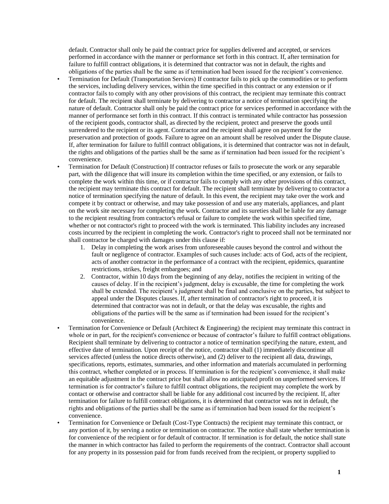default. Contractor shall only be paid the contract price for supplies delivered and accepted, or services performed in accordance with the manner or performance set forth in this contract. If, after termination for failure to fulfill contract obligations, it is determined that contractor was not in default, the rights and obligations of the parties shall be the same as if termination had been issued for the recipient's convenience.

- Termination for Default (Transportation Services) If contractor fails to pick up the commodities or to perform the services, including delivery services, within the time specified in this contract or any extension or if contractor fails to comply with any other provisions of this contract, the recipient may terminate this contract for default. The recipient shall terminate by delivering to contractor a notice of termination specifying the nature of default. Contractor shall only be paid the contract price for services performed in accordance with the manner of performance set forth in this contract. If this contract is terminated while contractor has possession of the recipient goods, contractor shall, as directed by the recipient, protect and preserve the goods until surrendered to the recipient or its agent. Contractor and the recipient shall agree on payment for the preservation and protection of goods. Failure to agree on an amount shall be resolved under the Dispute clause. If, after termination for failure to fulfill contract obligations, it is determined that contractor was not in default, the rights and obligations of the parties shall be the same as if termination had been issued for the recipient's convenience.
- Termination for Default (Construction) If contractor refuses or fails to prosecute the work or any separable part, with the diligence that will insure its completion within the time specified, or any extension, or fails to complete the work within this time, or if contractor fails to comply with any other provisions of this contract, the recipient may terminate this contract for default. The recipient shall terminate by delivering to contractor a notice of termination specifying the nature of default. In this event, the recipient may take over the work and compete it by contract or otherwise, and may take possession of and use any materials, appliances, and plant on the work site necessary for completing the work. Contractor and its sureties shall be liable for any damage to the recipient resulting from contractor's refusal or failure to complete the work within specified time, whether or not contractor's right to proceed with the work is terminated. This liability includes any increased costs incurred by the recipient in completing the work. Contractor's right to proceed shall not be terminated nor shall contractor be charged with damages under this clause if:
	- 1. Delay in completing the work arises from unforeseeable causes beyond the control and without the fault or negligence of contractor. Examples of such causes include: acts of God, acts of the recipient, acts of another contractor in the performance of a contract with the recipient, epidemics, quarantine restrictions, strikes, freight embargoes; and
	- 2. Contractor, within 10 days from the beginning of any delay, notifies the recipient in writing of the causes of delay. If in the recipient's judgment, delay is excusable, the time for completing the work shall be extended. The recipient's judgment shall be final and conclusive on the parties, but subject to appeal under the Disputes clauses. If, after termination of contractor's right to proceed, it is determined that contractor was not in default, or that the delay was excusable, the rights and obligations of the parties will be the same as if termination had been issued for the recipient's convenience.
- Termination for Convenience or Default (Architect & Engineering) the recipient may terminate this contract in whole or in part, for the recipient's convenience or because of contractor's failure to fulfill contract obligations. Recipient shall terminate by delivering to contractor a notice of termination specifying the nature, extent, and effective date of termination. Upon receipt of the notice, contractor shall (1) immediately discontinue all services affected (unless the notice directs otherwise), and (2) deliver to the recipient all data, drawings, specifications, reports, estimates, summaries, and other information and materials accumulated in performing this contract, whether completed or in process. If termination is for the recipient's convenience, it shall make an equitable adjustment in the contract price but shall allow no anticipated profit on unperformed services. If termination is for contractor's failure to fulfill contract obligations, the recipient may complete the work by contact or otherwise and contractor shall be liable for any additional cost incurred by the recipient. If, after termination for failure to fulfill contract obligations, it is determined that contractor was not in default, the rights and obligations of the parties shall be the same as if termination had been issued for the recipient's convenience.
- Termination for Convenience or Default (Cost-Type Contracts) the recipient may terminate this contract, or any portion of it, by serving a notice or termination on contractor. The notice shall state whether termination is for convenience of the recipient or for default of contractor. If termination is for default, the notice shall state the manner in which contractor has failed to perform the requirements of the contract. Contractor shall account for any property in its possession paid for from funds received from the recipient, or property supplied to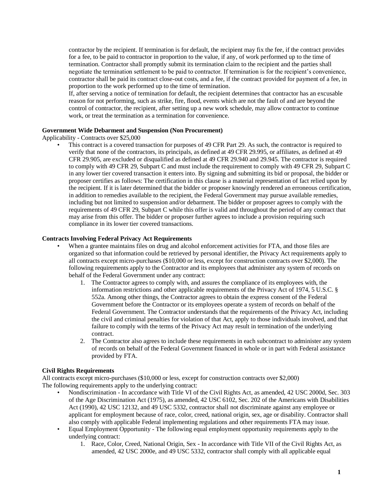contractor by the recipient. If termination is for default, the recipient may fix the fee, if the contract provides for a fee, to be paid to contractor in proportion to the value, if any, of work performed up to the time of termination. Contractor shall promptly submit its termination claim to the recipient and the parties shall negotiate the termination settlement to be paid to contractor. If termination is for the recipient's convenience, contractor shall be paid its contract close-out costs, and a fee, if the contract provided for payment of a fee, in proportion to the work performed up to the time of termination.

If, after serving a notice of termination for default, the recipient determines that contractor has an excusable reason for not performing, such as strike, fire, flood, events which are not the fault of and are beyond the control of contractor, the recipient, after setting up a new work schedule, may allow contractor to continue work, or treat the termination as a termination for convenience.

#### **Government Wide Debarment and Suspension (Non Procurement)**

Applicability - Contracts over \$25,000

• This contract is a covered transaction for purposes of 49 CFR Part 29. As such, the contractor is required to verify that none of the contractors, its principals, as defined at 49 CFR 29.995, or affiliates, as defined at 49 CFR 29.905, are excluded or disqualified as defined at 49 CFR 29.940 and 29.945. The contractor is required to comply with 49 CFR 29, Subpart C and must include the requirement to comply with 49 CFR 29, Subpart C in any lower tier covered transaction it enters into. By signing and submitting its bid or proposal, the bidder or proposer certifies as follows: The certification in this clause is a material representation of fact relied upon by the recipient. If it is later determined that the bidder or proposer knowingly rendered an erroneous certification, in addition to remedies available to the recipient, the Federal Government may pursue available remedies, including but not limited to suspension and/or debarment. The bidder or proposer agrees to comply with the requirements of 49 CFR 29, Subpart C while this offer is valid and throughout the period of any contract that may arise from this offer. The bidder or proposer further agrees to include a provision requiring such compliance in its lower tier covered transactions.

#### **Contracts Involving Federal Privacy Act Requirements**

- When a grantee maintains files on drug and alcohol enforcement activities for FTA, and those files are organized so that information could be retrieved by personal identifier, the Privacy Act requirements apply to all contracts except micro-purchases (\$10,000 or less, except for construction contracts over \$2,000). The following requirements apply to the Contractor and its employees that administer any system of records on behalf of the Federal Government under any contract:
	- 1. The Contractor agrees to comply with, and assures the compliance of its employees with, the information restrictions and other applicable requirements of the Privacy Act of 1974, 5 U.S.C. § 552a. Among other things, the Contractor agrees to obtain the express consent of the Federal Government before the Contractor or its employees operate a system of records on behalf of the Federal Government. The Contractor understands that the requirements of the Privacy Act, including the civil and criminal penalties for violation of that Act, apply to those individuals involved, and that failure to comply with the terms of the Privacy Act may result in termination of the underlying contract.
	- 2. The Contractor also agrees to include these requirements in each subcontract to administer any system of records on behalf of the Federal Government financed in whole or in part with Federal assistance provided by FTA.

#### **Civil Rights Requirements**

All contracts except micro-purchases (\$10,000 or less, except for construction contracts over \$2,000) The following requirements apply to the underlying contract:

- Nondiscrimination In accordance with Title VI of the Civil Rights Act, as amended, 42 USC 2000d, Sec. 303 of the Age Discrimination Act (1975), as amended, 42 USC 6102, Sec. 202 of the Americans with Disabilities Act (1990), 42 USC 12132, and 49 USC 5332, contractor shall not discriminate against any employee or applicant for employment because of race, color, creed, national origin, sex, age or disability. Contractor shall also comply with applicable Federal implementing regulations and other requirements FTA may issue.
- Equal Employment Opportunity The following equal employment opportunity requirements apply to the underlying contract:
	- 1. Race, Color, Creed, National Origin, Sex In accordance with Title VII of the Civil Rights Act, as amended, 42 USC 2000e, and 49 USC 5332, contractor shall comply with all applicable equal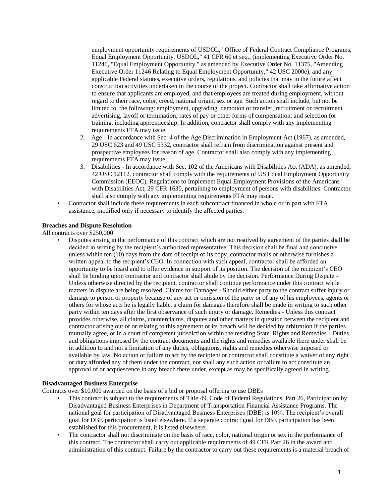employment opportunity requirements of USDOL, "Office of Federal Contract Compliance Programs, Equal Employment Opportunity, USDOL," 41 CFR 60 et seq., (implementing Executive Order No. 11246, "Equal Employment Opportunity," as amended by Executive Order No. 11375, "Amending Executive Order 11246 Relating to Equal Employment Opportunity," 42 USC 2000e), and any applicable Federal statutes, executive orders, regulations, and policies that may in the future affect construction activities undertaken in the course of the project. Contractor shall take affirmative action to ensure that applicants are employed, and that employees are treated during employment, without regard to their race, color, creed, national origin, sex or age. Such action shall include, but not be limited to, the following: employment, upgrading, demotion or transfer, recruitment or recruitment advertising, layoff or termination; rates of pay or other forms of compensation; and selection for training, including apprenticeship. In addition, contractor shall comply with any implementing requirements FTA may issue.

- 2. Age In accordance with Sec. 4 of the Age Discrimination in Employment Act (1967), as amended, 29 USC 623 and 49 USC 5332, contractor shall refrain from discrimination against present and prospective employees for reason of age. Contractor shall also comply with any implementing requirements FTA may issue.
- 3. Disabilities In accordance with Sec. 102 of the Americans with Disabilities Act (ADA), as amended, 42 USC 12112, contractor shall comply with the requirements of US Equal Employment Opportunity Commission (EEOC), Regulations to Implement Equal Employment Provisions of the Americans with Disabilities Act, 29 CFR 1630, pertaining to employment of persons with disabilities. Contractor shall also comply with any implementing requirements FTA may issue.
- Contractor shall include these requirements in each subcontract financed in whole or in part with FTA assistance, modified only if necessary to identify the affected parties.

# **Breaches and Dispute Resolution**

All contracts over \$250,000

• Disputes arising in the performance of this contract which are not resolved by agreement of the parties shall be decided in writing by the recipient's authorized representative. This decision shall be final and conclusive unless within ten (10) days from the date of receipt of its copy, contractor mails or otherwise furnishes a written appeal to the recipient's CEO. In connection with such appeal, contractor shall be afforded an opportunity to be heard and to offer evidence in support of its position. The decision of the recipient's CEO shall be binding upon contractor and contractor shall abide by the decision. Performance During Dispute - Unless otherwise directed by the recipient, contractor shall continue performance under this contract while matters in dispute are being resolved. Claims for Damages - Should either party to the contract suffer injury or damage to person or property because of any act or omission of the party or of any of his employees, agents or others for whose acts he is legally liable, a claim for damages therefore shall be made in writing to such other party within ten days after the first observance of such injury or damage. Remedies - Unless this contract provides otherwise, all claims, counterclaims, disputes and other matters in question between the recipient and contractor arising out of or relating to this agreement or its breach will be decided by arbitration if the parties mutually agree, or in a court of competent jurisdiction within the residing State. Rights and Remedies - Duties and obligations imposed by the contract documents and the rights and remedies available there under shall be in addition to and not a limitation of any duties, obligations, rights and remedies otherwise imposed or available by law. No action or failure to act by the recipient or contractor shall constitute a waiver of any right or duty afforded any of them under the contract, nor shall any such action or failure to act constitute an approval of or acquiescence in any breach there under, except as may be specifically agreed in writing.

### **Disadvantaged Business Enterprise**

Contracts over \$10,000 awarded on the basis of a bid or proposal offering to use DBEs

- This contract is subject to the requirements of Title 49, Code of Federal Regulations, Part 26, Participation by Disadvantaged Business Enterprises in Department of Transportation Financial Assistance Programs. The national goal for participation of Disadvantaged Business Enterprises (DBE) is 10%. The recipient's overall goal for DBE participation is listed elsewhere. If a separate contract goal for DBE participation has been established for this procurement, it is listed elsewhere.
- The contractor shall not discriminate on the basis of race, color, national origin or sex in the performance of this contract. The contractor shall carry out applicable requirements of 49 CFR Part 26 in the award and administration of this contract. Failure by the contractor to carry out these requirements is a material breach of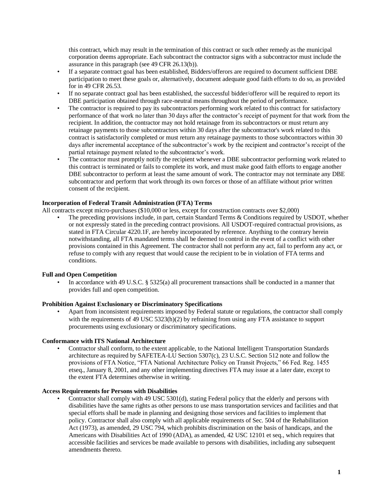this contract, which may result in the termination of this contract or such other remedy as the municipal corporation deems appropriate. Each subcontract the contractor signs with a subcontractor must include the assurance in this paragraph (see 49 CFR 26.13(b)).

- If a separate contract goal has been established, Bidders/offerors are required to document sufficient DBE participation to meet these goals or, alternatively, document adequate good faith efforts to do so, as provided for in 49 CFR 26.53.
- If no separate contract goal has been established, the successful bidder/offeror will be required to report its DBE participation obtained through race-neutral means throughout the period of performance.
- The contractor is required to pay its subcontractors performing work related to this contract for satisfactory performance of that work no later than 30 days after the contractor's receipt of payment for that work from the recipient. In addition, the contractor may not hold retainage from its subcontractors or must return any retainage payments to those subcontractors within 30 days after the subcontractor's work related to this contract is satisfactorily completed or must return any retainage payments to those subcontractors within 30 days after incremental acceptance of the subcontractor's work by the recipient and contractor's receipt of the partial retainage payment related to the subcontractor's work.
- The contractor must promptly notify the recipient whenever a DBE subcontractor performing work related to this contract is terminated or fails to complete its work, and must make good faith efforts to engage another DBE subcontractor to perform at least the same amount of work. The contractor may not terminate any DBE subcontractor and perform that work through its own forces or those of an affiliate without prior written consent of the recipient.

#### **Incorporation of Federal Transit Administration (FTA) Terms**

All contracts except micro-purchases (\$10,000 or less, except for construction contracts over \$2,000)

The preceding provisions include, in part, certain Standard Terms & Conditions required by USDOT, whether or not expressly stated in the preceding contract provisions. All USDOT-required contractual provisions, as stated in FTA Circular 4220.1F, are hereby incorporated by reference. Anything to the contrary herein notwithstanding, all FTA mandated terms shall be deemed to control in the event of a conflict with other provisions contained in this Agreement. The contractor shall not perform any act, fail to perform any act, or refuse to comply with any request that would cause the recipient to be in violation of FTA terms and conditions.

#### **Full and Open Competition**

• In accordance with 49 U.S.C. § 5325(a) all procurement transactions shall be conducted in a manner that provides full and open competition.

### **Prohibition Against Exclusionary or Discriminatory Specifications**

• Apart from inconsistent requirements imposed by Federal statute or regulations, the contractor shall comply with the requirements of 49 USC  $5323(h)(2)$  by refraining from using any FTA assistance to support procurements using exclusionary or discriminatory specifications.

#### **Conformance with ITS National Architecture**

• Contractor shall conform, to the extent applicable, to the National Intelligent Transportation Standards architecture as required by SAFETEA-LU Section 5307(c), 23 U.S.C. Section 512 note and follow the provisions of FTA Notice, "FTA National Architecture Policy on Transit Projects," 66 Fed. Reg. 1455 etseq., January 8, 2001, and any other implementing directives FTA may issue at a later date, except to the extent FTA determines otherwise in writing.

#### **Access Requirements for Persons with Disabilities**

• Contractor shall comply with 49 USC 5301(d), stating Federal policy that the elderly and persons with disabilities have the same rights as other persons to use mass transportation services and facilities and that special efforts shall be made in planning and designing those services and facilities to implement that policy. Contractor shall also comply with all applicable requirements of Sec. 504 of the Rehabilitation Act (1973), as amended, 29 USC 794, which prohibits discrimination on the basis of handicaps, and the Americans with Disabilities Act of 1990 (ADA), as amended, 42 USC 12101 et seq., which requires that accessible facilities and services be made available to persons with disabilities, including any subsequent amendments thereto.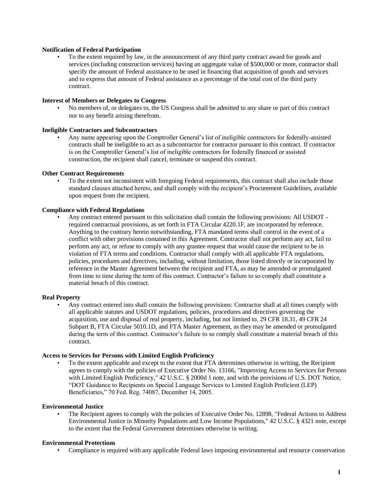#### **Notification of Federal Participation**

• To the extent required by law, in the announcement of any third party contract award for goods and services (including construction services) having an aggregate value of \$500,000 or more, contractor shall specify the amount of Federal assistance to be used in financing that acquisition of goods and services and to express that amount of Federal assistance as a percentage of the total cost of the third party contract.

#### **Interest of Members or Delegates to Congress**

• No members of, or delegates to, the US Congress shall be admitted to any share or part of this contract nor to any benefit arising therefrom.

#### **Ineligible Contractors and Subcontractors**

• Any name appearing upon the Comptroller General's list of ineligible contractors for federally-assisted contracts shall be ineligible to act as a subcontractor for contractor pursuant to this contract. If contractor is on the Comptroller General's list of ineligible contractors for federally financed or assisted construction, the recipient shall cancel, terminate or suspend this contract.

#### **Other Contract Requirements**

• To the extent not inconsistent with foregoing Federal requirements, this contract shall also include those standard clauses attached hereto, and shall comply with the recipient's Procurement Guidelines, available upon request from the recipient.

#### **Compliance with Federal Regulations**

• Any contract entered pursuant to this solicitation shall contain the following provisions: All USDOT required contractual provisions, as set forth in FTA Circular 4220.1F, are incorporated by reference. Anything to the contrary herein notwithstanding, FTA mandated terms shall control in the event of a conflict with other provisions contained in this Agreement. Contractor shall not perform any act, fail to perform any act, or refuse to comply with any grantee request that would cause the recipient to be in violation of FTA terms and conditions. Contractor shall comply with all applicable FTA regulations, policies, procedures and directives, including, without limitation, those listed directly or incorporated by reference in the Master Agreement between the recipient and FTA, as may be amended or promulgated from time to time during the term of this contract. Contractor's failure to so comply shall constitute a material breach of this contract.

#### **Real Property**

• Any contract entered into shall contain the following provisions: Contractor shall at all times comply with all applicable statutes and USDOT regulations, policies, procedures and directives governing the acquisition, use and disposal of real property, including, but not limited to, 29 CFR 18.31, 49 CFR 24 Subpart B, FTA Circular 5010.1D, and FTA Master Agreement, as they may be amended or promulgated during the term of this contract. Contractor's failure to so comply shall constitute a material breach of this contract.

#### **Access to Services for Persons with Limited English Proficiency**

• To the extent applicable and except to the extent that FTA determines otherwise in writing, the Recipient agrees to comply with the policies of Executive Order No. 13166, "Improving Access to Services for Persons with Limited English Proficiency," 42 U.S.C. § 2000d 1 note, and with the provisions of U.S. DOT Notice, "DOT Guidance to Recipients on Special Language Services to Limited English Proficient (LEP) Beneficiaries," 70 Fed. Reg. 74087, December 14, 2005.

#### **Environmental Justice**

• The Recipient agrees to comply with the policies of Executive Order No. 12898, "Federal Actions to Address Environmental Justice in Minority Populations and Low Income Populations," 42 U.S.C. § 4321 note, except to the extent that the Federal Government determines otherwise in writing.

#### **Environmental Protections**

• Compliance is required with any applicable Federal laws imposing environmental and resource conservation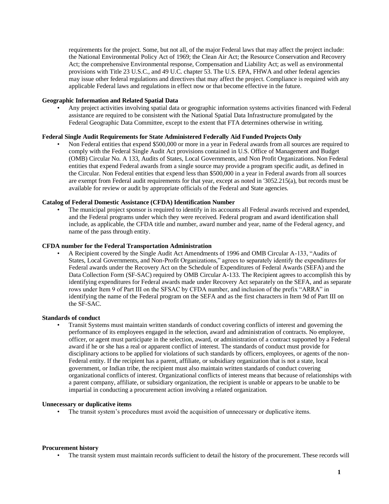requirements for the project. Some, but not all, of the major Federal laws that may affect the project include: the National Environmental Policy Act of 1969; the Clean Air Act; the Resource Conservation and Recovery Act; the comprehensive Environmental response, Compensation and Liability Act; as well as environmental provisions with Title 23 U.S.C., and 49 U.C. chapter 53. The U.S. EPA, FHWA and other federal agencies may issue other federal regulations and directives that may affect the project. Compliance is required with any applicable Federal laws and regulations in effect now or that become effective in the future.

#### **Geographic Information and Related Spatial Data**

• Any project activities involving spatial data or geographic information systems activities financed with Federal assistance are required to be consistent with the National Spatial Data Infrastructure promulgated by the Federal Geographic Data Committee, except to the extent that FTA determines otherwise in writing.

#### **Federal Single Audit Requirements for State Administered Federally Aid Funded Projects Only**

• Non Federal entities that expend \$500,000 or more in a year in Federal awards from all sources are required to comply with the Federal Single Audit Act provisions contained in U.S. Office of Management and Budget (OMB) Circular No. A 133, Audits of States, Local Governments, and Non Profit Organizations. Non Federal entities that expend Federal awards from a single source may provide a program specific audit, as defined in the Circular. Non Federal entities that expend less than \$500,000 in a year in Federal awards from all sources are exempt from Federal audit requirements for that year, except as noted in '3052.215(a), but records must be available for review or audit by appropriate officials of the Federal and State agencies.

#### **Catalog of Federal Domestic Assistance (CFDA) Identification Number**

• The municipal project sponsor is required to identify in its accounts all Federal awards received and expended, and the Federal programs under which they were received. Federal program and award identification shall include, as applicable, the CFDA title and number, award number and year, name of the Federal agency, and name of the pass through entity.

#### **CFDA number for the Federal Transportation Administration**

• A Recipient covered by the Single Audit Act Amendments of 1996 and OMB Circular A-133, "Audits of States, Local Governments, and Non-Profit Organizations," agrees to separately identify the expenditures for Federal awards under the Recovery Act on the Schedule of Expenditures of Federal Awards (SEFA) and the Data Collection Form (SF-SAC) required by OMB Circular A-133. The Recipient agrees to accomplish this by identifying expenditures for Federal awards made under Recovery Act separately on the SEFA, and as separate rows under Item 9 of Part III on the SFSAC by CFDA number, and inclusion of the prefix "ARRA" in identifying the name of the Federal program on the SEFA and as the first characters in Item 9d of Part III on the SF-SAC.

#### **Standards of conduct**

• Transit Systems must maintain written standards of conduct covering conflicts of interest and governing the performance of its employees engaged in the selection, award and administration of contracts. No employee, officer, or agent must participate in the selection, award, or administration of a contract supported by a Federal award if he or she has a real or apparent conflict of interest. The standards of conduct must provide for disciplinary actions to be applied for violations of such standards by officers, employees, or agents of the non-Federal entity. If the recipient has a parent, affiliate, or subsidiary organization that is not a state, local government, or Indian tribe, the recipient must also maintain written standards of conduct covering organizational conflicts of interest. Organizational conflicts of interest means that because of relationships with a parent company, affiliate, or subsidiary organization, the recipient is unable or appears to be unable to be impartial in conducting a procurement action involving a related organization.

#### **Unnecessary or duplicative items**

• The transit system's procedures must avoid the acquisition of unnecessary or duplicative items.

#### **Procurement history**

• The transit system must maintain records sufficient to detail the history of the procurement. These records will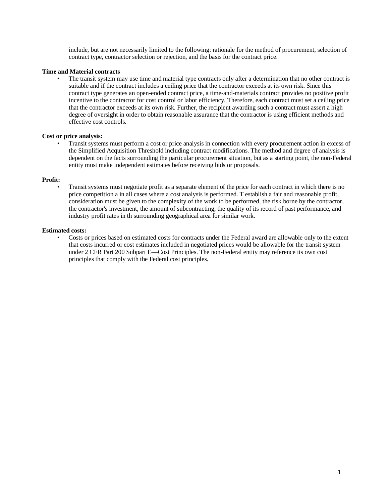include, but are not necessarily limited to the following: rationale for the method of procurement, selection of contract type, contractor selection or rejection, and the basis for the contract price.

#### **Time and Material contracts**

The transit system may use time and material type contracts only after a determination that no other contract is suitable and if the contract includes a ceiling price that the contractor exceeds at its own risk. Since this contract type generates an open-ended contract price, a time-and-materials contract provides no positive profit incentive to the contractor for cost control or labor efficiency. Therefore, each contract must set a ceiling price that the contractor exceeds at its own risk. Further, the recipient awarding such a contract must assert a high degree of oversight in order to obtain reasonable assurance that the contractor is using efficient methods and effective cost controls.

#### **Cost or price analysis:**

• Transit systems must perform a cost or price analysis in connection with every procurement action in excess of the Simplified Acquisition Threshold including contract modifications. The method and degree of analysis is dependent on the facts surrounding the particular procurement situation, but as a starting point, the non-Federal entity must make independent estimates before receiving bids or proposals.

#### **Profit:**

• Transit systems must negotiate profit as a separate element of the price for each contract in which there is no price competition a in all cases where a cost analysis is performed. T establish a fair and reasonable profit, consideration must be given to the complexity of the work to be performed, the risk borne by the contractor, the contractor's investment, the amount of subcontracting, the quality of its record of past performance, and industry profit rates in th surrounding geographical area for similar work.

#### **Estimated costs:**

• Costs or prices based on estimated costs for contracts under the Federal award are allowable only to the extent that costs incurred or cost estimates included in negotiated prices would be allowable for the transit system under 2 CFR Part 200 Subpart E—Cost Principles. The non-Federal entity may reference its own cost principles that comply with the Federal cost principles.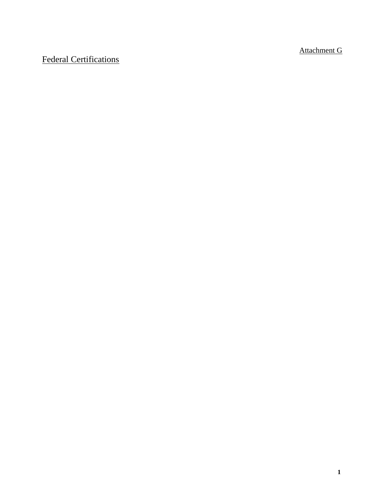Attachment G

# Federal Certifications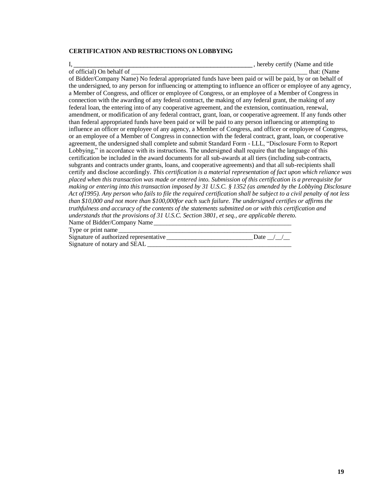### **CERTIFICATION AND RESTRICTIONS ON LOBBYING**

I, \_\_\_\_\_\_\_\_\_\_\_\_\_\_\_\_\_\_\_\_\_\_\_\_\_\_\_\_\_\_\_\_\_\_\_\_\_\_\_\_\_\_\_\_\_\_\_\_\_\_\_ , hereby certify (Name and title of official) On behalf of \_\_\_\_\_\_\_\_\_\_\_\_\_\_\_\_\_\_\_\_\_\_\_\_\_\_\_\_\_\_\_\_\_\_\_\_\_\_\_\_\_\_\_\_\_\_\_\_\_\_\_\_\_\_\_ that: (Name of Bidder/Company Name) No federal appropriated funds have been paid or will be paid, by or on behalf of the undersigned, to any person for influencing or attempting to influence an officer or employee of any agency, a Member of Congress, and officer or employee of Congress, or an employee of a Member of Congress in connection with the awarding of any federal contract, the making of any federal grant, the making of any federal loan, the entering into of any cooperative agreement, and the extension, continuation, renewal, amendment, or modification of any federal contract, grant, loan, or cooperative agreement. If any funds other than federal appropriated funds have been paid or will be paid to any person influencing or attempting to influence an officer or employee of any agency, a Member of Congress, and officer or employee of Congress, or an employee of a Member of Congress in connection with the federal contract, grant, loan, or cooperative agreement, the undersigned shall complete and submit Standard Form - LLL, "Disclosure Form to Report Lobbying," in accordance with its instructions. The undersigned shall require that the language of this certification be included in the award documents for all sub-awards at all tiers (including sub-contracts, subgrants and contracts under grants, loans, and cooperative agreements) and that all sub-recipients shall certify and disclose accordingly. *This certification is a material representation of fact upon which reliance was placed when this transaction was made or entered into. Submission of this certification is a prerequisite for making or entering into this transaction imposed by 31 U.S.C. § 1352 (as amended by the Lobbying Disclosure Act of1995). Any person who fails to file the required certification shall be subject to a civil penalty of not less than \$10,000 and not more than \$100,000for each such failure. The undersigned certifies or affirms the truthfulness and accuracy of the contents of the statements submitted on or with this certification and understands that the provisions of 31 U.S.C. Section 3801, et seq., are applicable thereto.* Name of Bidder/Company Name Type or print name Signature of authorized representative \_\_\_\_\_\_\_\_\_\_\_\_\_\_\_\_\_\_\_\_\_\_\_\_\_\_\_Date \_\_/\_\_/\_\_ Signature of notary and SEAL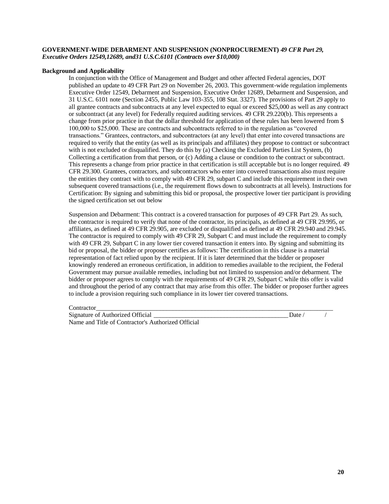#### **GOVERNMENT-WIDE DEBARMENT AND SUSPENSION (NONPROCUREMENT)** *49 CFR Part 29, Executive Orders 12549,12689, and31 U.S.C.6101 (Contracts over \$10,000)*

#### **Background and Applicability**

In conjunction with the Office of Management and Budget and other affected Federal agencies, DOT published an update to 49 CFR Part 29 on November 26, 2003. This government-wide regulation implements Executive Order 12549, Debarment and Suspension, Executive Order 12689, Debarment and Suspension, and 31 U.S.C. 6101 note (Section 2455, Public Law 103-355, 108 Stat. 3327). The provisions of Part 29 apply to all grantee contracts and subcontracts at any level expected to equal or exceed \$25,000 as well as any contract or subcontract (at any level) for Federally required auditing services. 49 CFR 29.220(b). This represents a change from prior practice in that the dollar threshold for application of these rules has been lowered from \$ 100,000 to \$25,000. These are contracts and subcontracts referred to in the regulation as "covered transactions." Grantees, contractors, and subcontractors (at any level) that enter into covered transactions are required to verify that the entity (as well as its principals and affiliates) they propose to contract or subcontract with is not excluded or disqualified. They do this by (a) Checking the Excluded Parties List System, (b) Collecting a certification from that person, or (c) Adding a clause or condition to the contract or subcontract. This represents a change from prior practice in that certification is still acceptable but is no longer required. 49 CFR 29.300. Grantees, contractors, and subcontractors who enter into covered transactions also must require the entities they contract with to comply with 49 CFR 29, subpart C and include this requirement in their own subsequent covered transactions (i.e., the requirement flows down to subcontracts at all levels). Instructions for Certification: By signing and submitting this bid or proposal, the prospective lower tier participant is providing the signed certification set out below

Suspension and Debarment: This contract is a covered transaction for purposes of 49 CFR Part 29. As such, the contractor is required to verify that none of the contractor, its principals, as defined at 49 CFR 29.995, or affiliates, as defined at 49 CFR 29.905, are excluded or disqualified as defined at 49 CFR 29.940 and 29.945. The contractor is required to comply with 49 CFR 29, Subpart C and must include the requirement to comply with 49 CFR 29, Subpart C in any lower tier covered transaction it enters into. By signing and submitting its bid or proposal, the bidder or proposer certifies as follows: The certification in this clause is a material representation of fact relied upon by the recipient. If it is later determined that the bidder or proposer knowingly rendered an erroneous certification, in addition to remedies available to the recipient, the Federal Government may pursue available remedies, including but not limited to suspension and/or debarment. The bidder or proposer agrees to comply with the requirements of 49 CFR 29, Subpart C while this offer is valid and throughout the period of any contract that may arise from this offer. The bidder or proposer further agrees to include a provision requiring such compliance in its lower tier covered transactions.

Contractor\_\_\_\_\_\_\_\_\_\_\_\_\_\_\_\_\_\_\_\_\_\_\_\_\_\_\_\_\_\_\_\_\_\_\_\_\_\_\_\_\_\_\_\_\_\_\_\_\_\_\_\_\_\_\_\_\_\_\_\_\_\_\_\_\_\_\_\_\_\_\_\_\_\_

Signature of Authorized Official \_\_\_\_\_\_\_\_\_\_\_\_\_\_\_\_\_\_\_\_\_\_\_\_\_\_\_\_\_\_\_\_\_\_\_\_\_\_\_\_\_\_ Date / / Name and Title of Contractor's Authorized Official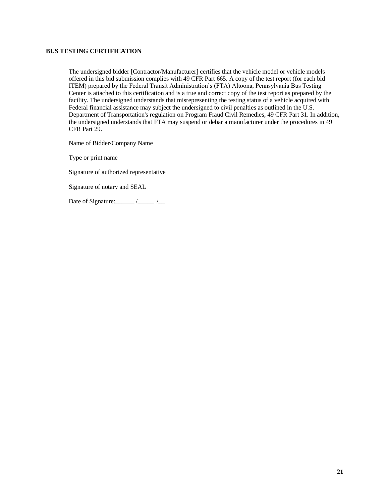### **BUS TESTING CERTIFICATION**

The undersigned bidder [Contractor/Manufacturer] certifies that the vehicle model or vehicle models offered in this bid submission complies with 49 CFR Part 665. A copy of the test report (for each bid ITEM) prepared by the Federal Transit Administration's (FTA) Altoona, Pennsylvania Bus Testing Center is attached to this certification and is a true and correct copy of the test report as prepared by the facility. The undersigned understands that misrepresenting the testing status of a vehicle acquired with Federal financial assistance may subject the undersigned to civil penalties as outlined in the U.S. Department of Transportation's regulation on Program Fraud Civil Remedies, 49 CFR Part 31. In addition, the undersigned understands that FTA may suspend or debar a manufacturer under the procedures in 49 CFR Part 29.

Name of Bidder/Company Name

Type or print name

Signature of authorized representative

Signature of notary and SEAL

Date of Signature: $\frac{1}{\sqrt{2\pi}}$  /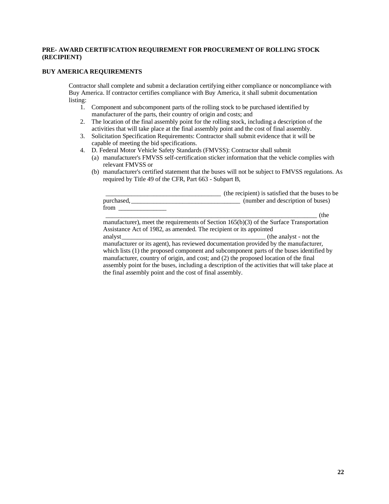# **PRE- AWARD CERTIFICATION REQUIREMENT FOR PROCUREMENT OF ROLLING STOCK (RECIPIENT)**

# **BUY AMERICA REQUIREMENTS**

Contractor shall complete and submit a declaration certifying either compliance or noncompliance with Buy America. If contractor certifies compliance with Buy America, it shall submit documentation listing:

- 1. Component and subcomponent parts of the rolling stock to be purchased identified by manufacturer of the parts, their country of origin and costs; and
- 2. The location of the final assembly point for the rolling stock, including a description of the activities that will take place at the final assembly point and the cost of final assembly.
- 3. Solicitation Specification Requirements: Contractor shall submit evidence that it will be capable of meeting the bid specifications.
- 4. D. Federal Motor Vehicle Safety Standards (FMVSS): Contractor shall submit

the final assembly point and the cost of final assembly.

- (a) manufacturer's FMVSS self-certification sticker information that the vehicle complies with relevant FMVSS or
- (b) manufacturer's certified statement that the buses will not be subject to FMVSS regulations. As required by Title 49 of the CFR, Part 663 - Subpart B,

|            | (the recipient) is satisfied that the buses to be                                         |
|------------|-------------------------------------------------------------------------------------------|
| purchased, | (number and description of buses)                                                         |
| from       |                                                                                           |
|            | (the                                                                                      |
|            | manufacturer), meet the requirements of Section $165(b)(3)$ of the Surface Transportation |

Assistance Act of 1982, as amended. The recipient or its appointed analyst the analyst change of the analyst - not the analyst - not the  $\alpha$ manufacturer or its agent), has reviewed documentation provided by the manufacturer, which lists (1) the proposed component and subcomponent parts of the buses identified by manufacturer, country of origin, and cost; and (2) the proposed location of the final assembly point for the buses, including a description of the activities that will take place at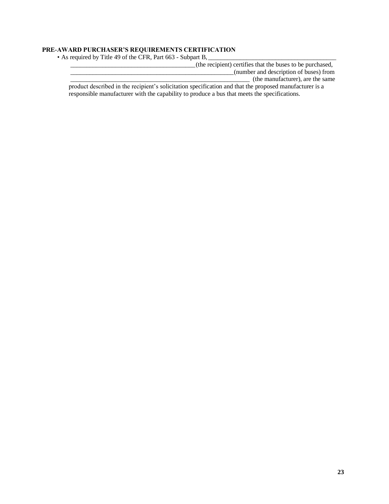#### **PRE-AWARD PURCHASER'S REQUIREMENTS CERTIFICATION**

• As required by Title 49 of the CFR, Part 663 - Subpart B, \_\_\_\_\_\_\_\_\_\_\_\_\_\_\_\_\_\_\_\_\_\_\_\_\_\_\_\_\_\_\_\_\_\_\_\_\_\_\_\_

| (the recipient) certifies that the buses to be purchased,                                               |
|---------------------------------------------------------------------------------------------------------|
| (number and description of buses) from                                                                  |
| (the manufacturer), are the same                                                                        |
| product described in the recipient's solicitation specification and that the proposed manufacturer is a |
| responsible manufacturer with the capability to produce a bus that meets the specifications.            |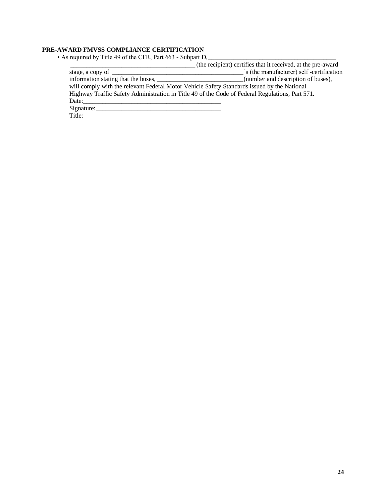# **PRE-AWARD FMVSS COMPLIANCE CERTIFICATION**

• As required by Title 49 of the CFR, Part 663 - Subpart D,

|                                                                                                 | (the recipient) certifies that it received, at the pre-award                                           |
|-------------------------------------------------------------------------------------------------|--------------------------------------------------------------------------------------------------------|
|                                                                                                 | 's (the manufacturer) self-certification                                                               |
|                                                                                                 | information stating that the buses, ________________________________(number and description of buses), |
| will comply with the relevant Federal Motor Vehicle Safety Standards issued by the National     |                                                                                                        |
| Highway Traffic Safety Administration in Title 49 of the Code of Federal Regulations, Part 571. |                                                                                                        |
| Date:                                                                                           |                                                                                                        |
| Signature:                                                                                      |                                                                                                        |
| Title:                                                                                          |                                                                                                        |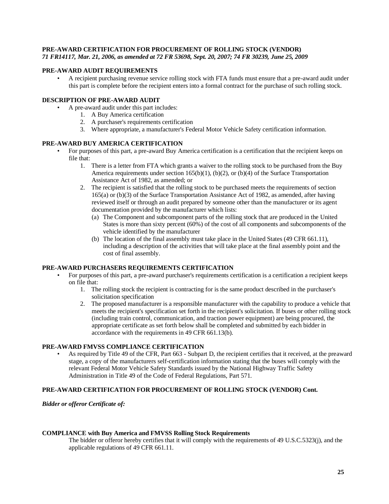# **PRE-AWARD CERTIFICATION FOR PROCUREMENT OF ROLLING STOCK (VENDOR)**

*71 FR14117, Mar. 21, 2006, as amended at 72 FR 53698, Sept. 20, 2007; 74 FR 30239, June 25, 2009*

### **PRE-AWARD AUDIT REQUIREMENTS**

• A recipient purchasing revenue service rolling stock with FTA funds must ensure that a pre-award audit under this part is complete before the recipient enters into a formal contract for the purchase of such rolling stock.

#### **DESCRIPTION OF PRE-AWARD AUDIT**

- A pre-award audit under this part includes:
	- 1. A Buy America certification
	- 2. A purchaser's requirements certification
	- 3. Where appropriate, a manufacturer's Federal Motor Vehicle Safety certification information.

#### **PRE-AWARD BUY AMERICA CERTIFICATION**

- For purposes of this part, a pre-award Buy America certification is a certification that the recipient keeps on file that:
	- 1. There is a letter from FTA which grants a waiver to the rolling stock to be purchased from the Buy America requirements under section 165(b)(1), (b)(2), or (b)(4) of the Surface Transportation Assistance Act of 1982, as amended; or
	- 2. The recipient is satisfied that the rolling stock to be purchased meets the requirements of section 165(a) or (b)(3) of the Surface Transportation Assistance Act of 1982, as amended, after having reviewed itself or through an audit prepared by someone other than the manufacturer or its agent documentation provided by the manufacturer which lists:
		- (a) The Component and subcomponent parts of the rolling stock that are produced in the United States is more than sixty percent (60%) of the cost of all components and subcomponents of the vehicle identified by the manufacturer
		- (b) The location of the final assembly must take place in the United States (49 CFR 661.11), including a description of the activities that will take place at the final assembly point and the cost of final assembly.

# **PRE-AWARD PURCHASERS REQUIREMENTS CERTIFICATION**

- For purposes of this part, a pre-award purchaser's requirements certification is a certification a recipient keeps on file that:
	- 1. The rolling stock the recipient is contracting for is the same product described in the purchaser's solicitation specification
	- 2. The proposed manufacturer is a responsible manufacturer with the capability to produce a vehicle that meets the recipient's specification set forth in the recipient's solicitation. If buses or other rolling stock (including train control, communication, and traction power equipment) are being procured, the appropriate certificate as set forth below shall be completed and submitted by each bidder in accordance with the requirements in 49 CFR 661.13(b).

#### **PRE-AWARD FMVSS COMPLIANCE CERTIFICATION**

• As required by Title 49 of the CFR, Part 663 - Subpart D, the recipient certifies that it received, at the preaward stage, a copy of the manufacturers self-certification information stating that the buses will comply with the relevant Federal Motor Vehicle Safety Standards issued by the National Highway Traffic Safety Administration in Title 49 of the Code of Federal Regulations, Part 571.

#### **PRE-AWARD CERTIFICATION FOR PROCUREMENT OF ROLLING STOCK (VENDOR) Cont.**

*Bidder or offeror Certificate of:*

#### **COMPLIANCE with Buy America and FMVSS Rolling Stock Requirements**

The bidder or offeror hereby certifies that it will comply with the requirements of 49 U.S.C.5323(j), and the applicable regulations of 49 CFR 661.11.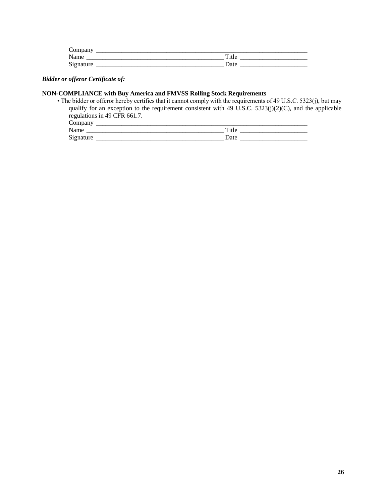| $\sim$<br>ппрап<br>◡        |                     |
|-----------------------------|---------------------|
| N<br>ممصرا<br><b>Name</b>   | <br>_____           |
| $\mathbf{C}$ :<br><b>NU</b> | Jote<br>van<br>____ |

### *Bidder or offeror Certificate of:*

# **NON-COMPLIANCE with Buy America and FMVSS Rolling Stock Requirements**

• The bidder or offeror hereby certifies that it cannot comply with the requirements of 49 U.S.C. 5323(j), but may qualify for an exception to the requirement consistent with 49 U.S.C. 5323(j)(2)(C), and the applicable regulations in 49 CFR 661.7.

| $\overline{\phantom{0}}$ |  |  |
|--------------------------|--|--|
| Company                  |  |  |

| . .<br>г<br>________       | ____<br>________<br>___________ |
|----------------------------|---------------------------------|
| $\tilde{\phantom{a}}$<br>ີ |                                 |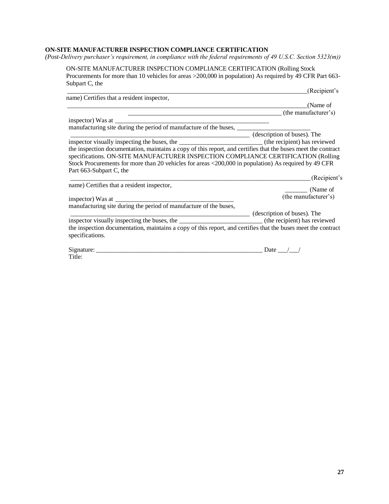# **ON-SITE MANUFACTURER INSPECTION COMPLIANCE CERTIFICATION**

*(Post-Delivery purchaser's requirement, in compliance with the federal requirements of 49 U.S.C. Section 5323(m))*

ON-SITE MANUFACTURER INSPECTION COMPLIANCE CERTIFICATION (Rolling Stock Procurements for more than 10 vehicles for areas >200,000 in population) As required by 49 CFR Part 663- Subpart C, the

|                                                                                                                                                                                                    | (Recipient's                       |
|----------------------------------------------------------------------------------------------------------------------------------------------------------------------------------------------------|------------------------------------|
| name) Certifies that a resident inspector,                                                                                                                                                         |                                    |
|                                                                                                                                                                                                    | (Name of                           |
|                                                                                                                                                                                                    | $\frac{1}{1}$ (the manufacturer's) |
|                                                                                                                                                                                                    |                                    |
|                                                                                                                                                                                                    |                                    |
|                                                                                                                                                                                                    | (description of buses). The        |
|                                                                                                                                                                                                    |                                    |
| the inspection documentation, maintains a copy of this report, and certifies that the buses meet the contract<br>specifications. ON-SITE MANUFACTURER INSPECTION COMPLIANCE CERTIFICATION (Rolling |                                    |
| Stock Procurements for more than 20 vehicles for areas <200,000 in population) As required by 49 CFR                                                                                               |                                    |
| Part 663-Subpart C, the                                                                                                                                                                            |                                    |
|                                                                                                                                                                                                    | (Recipient's                       |
| name) Certifies that a resident inspector,                                                                                                                                                         |                                    |
| inspector) Was at                                                                                                                                                                                  | (Name of<br>(the manufacturer's)   |
| manufacturing site during the period of manufacture of the buses,                                                                                                                                  |                                    |
|                                                                                                                                                                                                    | (description of buses). The        |
|                                                                                                                                                                                                    |                                    |
| the inspection documentation, maintains a copy of this report, and certifies that the buses meet the contract<br>specifications.                                                                   |                                    |
| Signature:                                                                                                                                                                                         | Date $/$ /                         |
| Title:                                                                                                                                                                                             |                                    |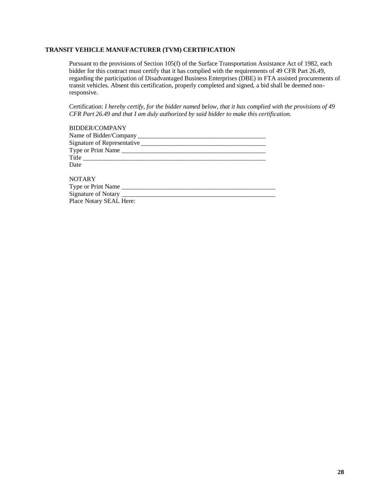# **TRANSIT VEHICLE MANUFACTURER (TVM) CERTIFICATION**

Place Notary SEAL Here:

Pursuant to the provisions of Section 105(f) of the Surface Transportation Assistance Act of 1982, each bidder for this contract must certify that it has complied with the requirements of 49 CFR Part 26.49, regarding the participation of Disadvantaged Business Enterprises (DBE) in FTA assisted procurements of transit vehicles. Absent this certification, properly completed and signed, a bid shall be deemed nonresponsive.

Certification: *I hereby certify, for the bidder named below, that it has complied with the provisions of 49 CFR Part 26.49 and that I am duly authorized by said bidder to make this certification.*

| <b>BIDDER/COMPANY</b>       |
|-----------------------------|
| Name of Bidder/Company      |
| Signature of Representative |
| Type or Print Name          |
|                             |
| Date                        |
| <b>NOTARY</b>               |
| Type or Print Name          |
| Signature of Notary         |

**28**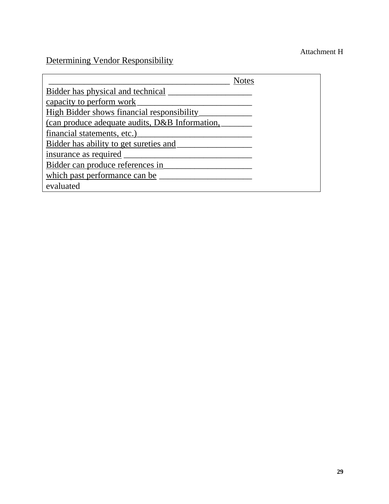# Attachment H

Determining Vendor Responsibility

|                                                   | <b>Notes</b> |
|---------------------------------------------------|--------------|
| Bidder has physical and technical                 |              |
| capacity to perform work                          |              |
| <b>High Bidder shows financial responsibility</b> |              |
| (can produce adequate audits, D&B Information,    |              |
| financial statements, etc.)                       |              |
| Bidder has ability to get sureties and            |              |
| insurance as required                             |              |
| Bidder can produce references in                  |              |
| which past performance can be                     |              |
| evaluated                                         |              |